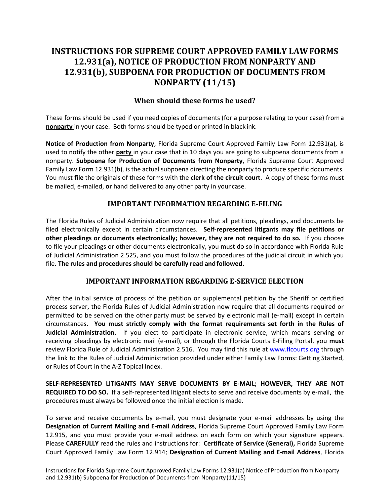# **INSTRUCTIONS FOR SUPREME COURT APPROVED FAMILY LAWFORMS 12.931(a), NOTICE OF PRODUCTION FROM NONPARTY AND 12.931(b), SUBPOENA FOR PRODUCTION OF DOCUMENTS FROM NONPARTY (11/15)**

## **When should these forms be used?**

These forms should be used if you need copies of documents (for a purpose relating to your case) froma **nonparty** in your case. Both forms should be typed or printed in black ink.

**Notice of Production from Nonparty**, Florida Supreme Court Approved Family Law Form 12.931(a), is used to notify the other **party** in your case that in 10 days you are going to subpoena documents from a nonparty. **Subpoena for Production of Documents from Nonparty**, Florida Supreme Court Approved Family Law Form 12.931(b), is the actual subpoena directing the nonparty to produce specific documents. You must **file** the originals of these forms with the **clerk of the circuit court**. A copy of these forms must be mailed, e-mailed, **or** hand delivered to any other party in your case.

#### **IMPORTANT INFORMATION REGARDING E-FILING**

The Florida Rules of Judicial Administration now require that all petitions, pleadings, and documents be filed electronically except in certain circumstances. **Self-represented litigants may file petitions or other pleadings or documents electronically; however, they are not required to do so.** If you choose to file your pleadings or other documents electronically, you must do so in accordance with Florida Rule of Judicial Administration 2.525, and you must follow the procedures of the judicial circuit in which you file. **The rules and procedures should be carefully read andfollowed.**

#### **IMPORTANT INFORMATION REGARDING E-SERVICE ELECTION**

After the initial service of process of the petition or supplemental petition by the Sheriff or certified process server, the Florida Rules of Judicial Administration now require that all documents required or permitted to be served on the other party must be served by electronic mail (e-mail) except in certain circumstances. **You must strictly comply with the format requirements set forth in the Rules of Judicial Administration.** If you elect to participate in electronic service, which means serving or receiving pleadings by electronic mail (e-mail), or through the Florida Courts E-Filing Portal, you **must** review Florida Rule of Judicial Administration 2.516. You may find this rule at [www.flcourts.org](http://www.flcourts.org/) through the link to the Rules of Judicial Administration provided under either Family Law Forms: Getting Started, or Rules of Court in the A-Z Topical Index.

**SELF-REPRESENTED LITIGANTS MAY SERVE DOCUMENTS BY E-MAIL; HOWEVER, THEY ARE NOT REQUIRED TO DO SO.** If a self-represented litigant elects to serve and receive documents by e-mail, the procedures must always be followed once the initial election ismade.

To serve and receive documents by e-mail, you must designate your e-mail addresses by using the **Designation of Current Mailing and E-mail Address**, Florida Supreme Court Approved Family Law Form 12.915, and you must provide your e-mail address on each form on which your signature appears. Please **CAREFULLY** read the rules and instructions for: **Certificate of Service (General),** Florida Supreme Court Approved Family Law Form 12.914; **Designation of Current Mailing and E-mail Address**, Florida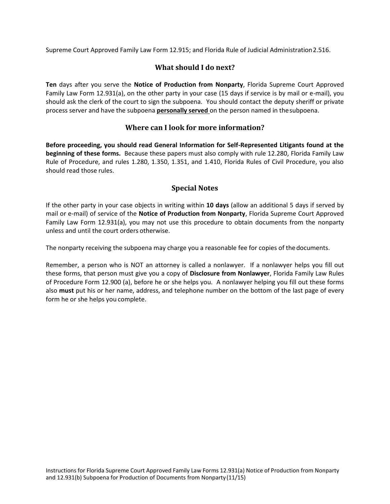Supreme Court Approved Family Law Form 12.915; and Florida Rule of Judicial Administration2.516.

# **What should I do next?**

**Ten** days after you serve the **Notice of Production from Nonparty**, Florida Supreme Court Approved Family Law Form 12.931(a), on the other party in your case (15 days if service is by mail or e-mail), you should ask the clerk of the court to sign the subpoena. You should contact the deputy sheriff or private process server and have the subpoena **personally served** on the person named in thesubpoena.

# **Where can I look for more information?**

**Before proceeding, you should read General Information for Self-Represented Litigants found at the beginning of these forms.** Because these papers must also comply with rule 12.280, Florida Family Law Rule of Procedure, and rules 1.280, 1.350, 1.351, and 1.410, Florida Rules of Civil Procedure, you also should read those rules.

#### **Special Notes**

If the other party in your case objects in writing within **10 days** (allow an additional 5 days if served by mail or e-mail) of service of the **Notice of Production from Nonparty**, Florida Supreme Court Approved Family Law Form 12.931(a), you may not use this procedure to obtain documents from the nonparty unless and until the court orders otherwise.

The nonparty receiving the subpoena may charge you a reasonable fee for copies of thedocuments.

Remember, a person who is NOT an attorney is called a nonlawyer. If a nonlawyer helps you fill out these forms, that person must give you a copy of **Disclosure from Nonlawyer**, Florida Family Law Rules of Procedure Form 12.900 (a), before he or she helps you. A nonlawyer helping you fill out these forms also **must** put his or her name, address, and telephone number on the bottom of the last page of every form he or she helps you complete.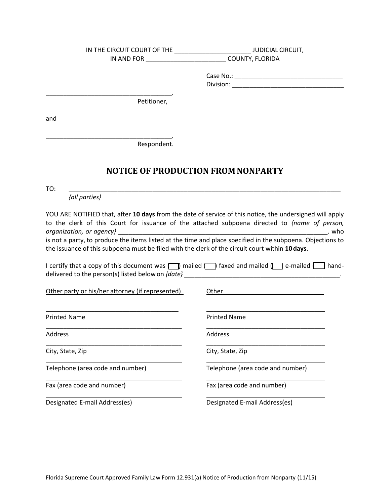|                                                                                                 | IN THE CIRCUIT COURT OF THE ______________________________JUDICIAL CIRCUIT,                                         |
|-------------------------------------------------------------------------------------------------|---------------------------------------------------------------------------------------------------------------------|
| IN AND FOR __________________________                                                           | COUNTY, FLORIDA                                                                                                     |
|                                                                                                 |                                                                                                                     |
|                                                                                                 |                                                                                                                     |
|                                                                                                 |                                                                                                                     |
| Petitioner,                                                                                     |                                                                                                                     |
| and                                                                                             |                                                                                                                     |
|                                                                                                 |                                                                                                                     |
| Respondent.                                                                                     |                                                                                                                     |
|                                                                                                 | <b>NOTICE OF PRODUCTION FROM NONPARTY</b>                                                                           |
|                                                                                                 |                                                                                                                     |
| TO:<br>{all parties}                                                                            |                                                                                                                     |
|                                                                                                 |                                                                                                                     |
|                                                                                                 | YOU ARE NOTIFIED that, after 10 days from the date of service of this notice, the undersigned will apply            |
|                                                                                                 | to the clerk of this Court for issuance of the attached subpoena directed to {name of person,                       |
| organization, or agency}                                                                        | , who<br>is not a party, to produce the items listed at the time and place specified in the subpoena. Objections to |
| the issuance of this subpoena must be filed with the clerk of the circuit court within 10 days. |                                                                                                                     |
|                                                                                                 |                                                                                                                     |
|                                                                                                 | I certify that a copy of this document was $\Box$ mailed $\Box$ faxed and mailed $\Box$ e-mailed $\Box$ hand-       |
|                                                                                                 |                                                                                                                     |
| Other party or his/her attorney (if represented)                                                |                                                                                                                     |
|                                                                                                 |                                                                                                                     |
| <b>Printed Name</b>                                                                             | <b>Printed Name</b>                                                                                                 |
|                                                                                                 |                                                                                                                     |
| Address                                                                                         | Address                                                                                                             |
| City, State, Zip                                                                                | City, State, Zip                                                                                                    |
| Telephone (area code and number)                                                                | Telephone (area code and number)                                                                                    |
| Fax (area code and number)                                                                      | Fax (area code and number)                                                                                          |
| Designated E-mail Address(es)                                                                   | Designated E-mail Address(es)                                                                                       |
|                                                                                                 |                                                                                                                     |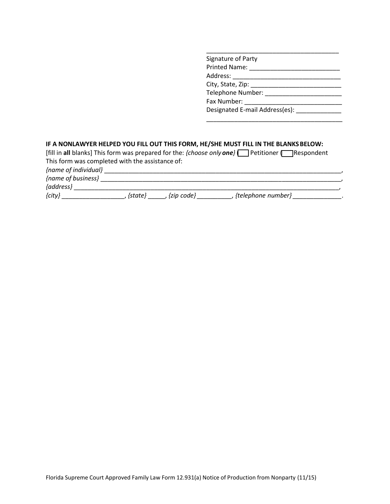| Signature of Party                         |
|--------------------------------------------|
|                                            |
| Address: ______________________            |
|                                            |
| Telephone Number: Nelephone Number:        |
|                                            |
| Designated E-mail Address(es): Nessignated |
|                                            |

# **IF A NONLAWYER HELPED YOU FILL OUT THIS FORM, HE/SHE MUST FILL IN THE BLANKSBELOW:**

|                                                 |         |             | [fill in all blanks] This form was prepared for the: $\{choose$ only one $\{\top\}$ Petitioner $\{\top\}$ Respondent |  |
|-------------------------------------------------|---------|-------------|----------------------------------------------------------------------------------------------------------------------|--|
| This form was completed with the assistance of: |         |             |                                                                                                                      |  |
| {name of individual}                            |         |             |                                                                                                                      |  |
| {name of business}                              |         |             |                                                                                                                      |  |
| {address}                                       |         |             |                                                                                                                      |  |
| ${city}$                                        | {state} | {zip code}, | {telephone number}                                                                                                   |  |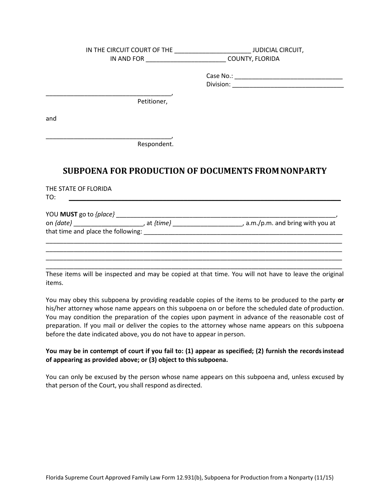|                                                              | IN THE CIRCUIT COURT OF THE _____________________________JUDICIAL CIRCUIT,                                       |
|--------------------------------------------------------------|------------------------------------------------------------------------------------------------------------------|
|                                                              | IN AND FOR __________________________________ COUNTY, FLORIDA                                                    |
|                                                              |                                                                                                                  |
|                                                              |                                                                                                                  |
|                                                              |                                                                                                                  |
| Petitioner,                                                  |                                                                                                                  |
|                                                              |                                                                                                                  |
| and                                                          |                                                                                                                  |
|                                                              |                                                                                                                  |
|                                                              |                                                                                                                  |
| Respondent.                                                  |                                                                                                                  |
|                                                              |                                                                                                                  |
|                                                              |                                                                                                                  |
|                                                              | <b>SUBPOENA FOR PRODUCTION OF DOCUMENTS FROM NONPARTY</b>                                                        |
| THE STATE OF FLORIDA                                         |                                                                                                                  |
| <u> 1980 - Andrea Stadt, fransk politik (d. 1980)</u><br>TO: |                                                                                                                  |
|                                                              |                                                                                                                  |
|                                                              |                                                                                                                  |
|                                                              | on {date} __________________________, at {time} _______________________________, a.m./p.m. and bring with you at |
|                                                              |                                                                                                                  |
|                                                              |                                                                                                                  |
|                                                              |                                                                                                                  |

\_\_\_\_\_\_\_\_\_\_\_\_\_\_\_\_\_\_\_\_\_\_\_\_\_\_\_\_\_\_\_\_\_\_\_\_\_\_\_\_\_\_\_\_\_\_\_\_\_\_\_\_\_\_\_\_\_\_\_\_\_\_\_\_\_\_\_\_\_\_\_\_\_\_\_\_\_\_\_\_\_\_\_\_\_ These items will be inspected and may be copied at that time. You will not have to leave the original items.

\_\_\_\_\_\_\_\_\_\_\_\_\_\_\_\_\_\_\_\_\_\_\_\_\_\_\_\_\_\_\_\_\_\_\_\_\_\_\_\_\_\_\_\_\_\_\_\_\_\_\_\_\_\_\_\_\_\_\_\_\_\_\_\_\_\_\_\_\_\_\_\_\_\_\_\_\_\_\_\_\_\_\_\_\_ \_\_\_\_\_\_\_\_\_\_\_\_\_\_\_\_\_\_\_\_\_\_\_\_\_\_\_\_\_\_\_\_\_\_\_\_\_\_\_\_\_\_\_\_\_\_\_\_\_\_\_\_\_\_\_\_\_\_\_\_\_\_\_\_\_\_\_\_\_\_\_\_\_\_\_\_\_\_\_\_\_\_\_\_\_

You may obey this subpoena by providing readable copies of the items to be produced to the party **or**  his/her attorney whose name appears on this subpoena on or before the scheduled date of production. You may condition the preparation of the copies upon payment in advance of the reasonable cost of preparation. If you mail or deliver the copies to the attorney whose name appears on this subpoena before the date indicated above, you do not have to appear in person.

#### **You may be in contempt of court if you fail to: (1) appear as specified; (2) furnish the recordsinstead of appearing as provided above; or (3) object to thissubpoena.**

You can only be excused by the person whose name appears on this subpoena and, unless excused by that person of the Court, you shall respond asdirected.